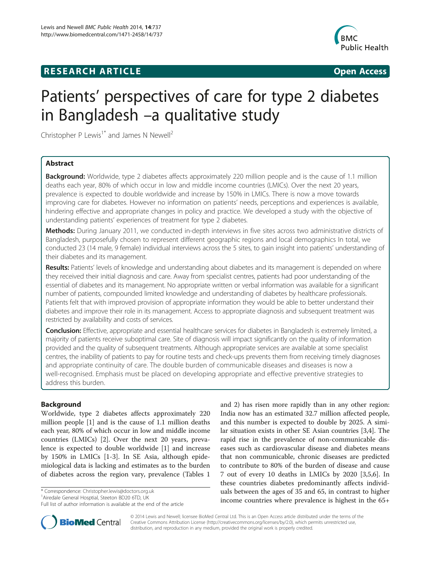# **RESEARCH ARTICLE Example 2014 12:30 The SEAR CHIPS 2014 12:30 The Open Access**



# Patients' perspectives of care for type 2 diabetes in Bangladesh –a qualitative study

Christopher P Lewis<sup>1\*</sup> and James N Newell<sup>2</sup>

# Abstract

**Background:** Worldwide, type 2 diabetes affects approximately 220 million people and is the cause of 1.1 million deaths each year, 80% of which occur in low and middle income countries (LMICs). Over the next 20 years, prevalence is expected to double worldwide and increase by 150% in LMICs. There is now a move towards improving care for diabetes. However no information on patients' needs, perceptions and experiences is available, hindering effective and appropriate changes in policy and practice. We developed a study with the objective of understanding patients' experiences of treatment for type 2 diabetes.

Methods: During January 2011, we conducted in-depth interviews in five sites across two administrative districts of Bangladesh, purposefully chosen to represent different geographic regions and local demographics In total, we conducted 23 (14 male, 9 female) individual interviews across the 5 sites, to gain insight into patients' understanding of their diabetes and its management.

Results: Patients' levels of knowledge and understanding about diabetes and its management is depended on where they received their initial diagnosis and care. Away from specialist centres, patients had poor understanding of the essential of diabetes and its management. No appropriate written or verbal information was available for a significant number of patients, compounded limited knowledge and understanding of diabetes by healthcare professionals. Patients felt that with improved provision of appropriate information they would be able to better understand their diabetes and improve their role in its management. Access to appropriate diagnosis and subsequent treatment was restricted by availability and costs of services.

Conclusion: Effective, appropriate and essential healthcare services for diabetes in Bangladesh is extremely limited, a majority of patients receive suboptimal care. Site of diagnosis will impact significantly on the quality of information provided and the quality of subsequent treatments. Although appropriate services are available at some specialist centres, the inability of patients to pay for routine tests and check-ups prevents them from receiving timely diagnoses and appropriate continuity of care. The double burden of communicable diseases and diseases is now a well-recognised. Emphasis must be placed on developing appropriate and effective preventive strategies to address this burden.

# Background

Worldwide, type 2 diabetes affects approximately 220 million people [[1\]](#page-5-0) and is the cause of 1.1 million deaths each year, 80% of which occur in low and middle income countries (LMICs) [[2\]](#page-5-0). Over the next 20 years, prevalence is expected to double worldwide [\[1](#page-5-0)] and increase by 150% in LMICs [[1-3](#page-5-0)]. In SE Asia, although epidemiological data is lacking and estimates as to the burden of diabetes across the region vary, prevalence (Tables [1](#page-1-0)

\* Correspondence: [Christopher.lewis@doctors.org.uk](mailto:Christopher.lewis@doctors.org.uk) <sup>1</sup>

<sup>1</sup> Airedale General Hosptial, Steeton BD20 6TD, UK

and [2](#page-1-0)) has risen more rapidly than in any other region: India now has an estimated 32.7 million affected people, and this number is expected to double by 2025. A similar situation exists in other SE Asian countries [\[3,4](#page-5-0)]. The rapid rise in the prevalence of non-communicable diseases such as cardiovascular disease and diabetes means that non communicable, chronic diseases are predicted to contribute to 80% of the burden of disease and cause 7 out of every 10 deaths in LMICs by 2020 [\[3,5,6](#page-5-0)]. In these countries diabetes predominantly affects individuals between the ages of 35 and 65, in contrast to higher income countries where prevalence is highest in the 65+



© 2014 Lewis and Newell; licensee BioMed Central Ltd. This is an Open Access article distributed under the terms of the Creative Commons Attribution License (<http://creativecommons.org/licenses/by/2.0>), which permits unrestricted use, distribution, and reproduction in any medium, provided the original work is properly credited.

Full list of author information is available at the end of the article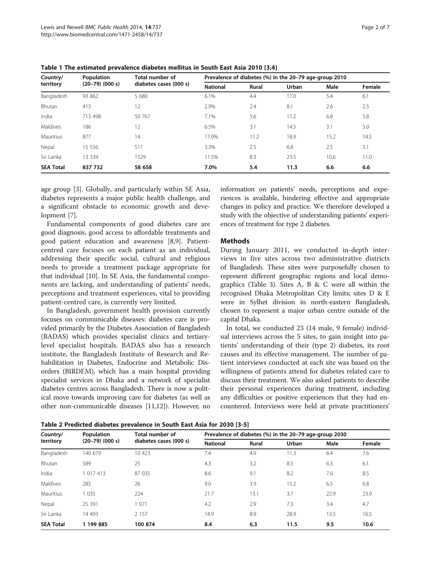| Country/<br>territory | Population<br>$(20-79)$ $(000 s)$ | Total number of<br>diabetes cases (000 s) | Prevalence of diabetes (%) in the 20-79 age-group 2010 |              |       |      |        |  |
|-----------------------|-----------------------------------|-------------------------------------------|--------------------------------------------------------|--------------|-------|------|--------|--|
|                       |                                   |                                           | <b>National</b>                                        | <b>Rural</b> | Urban | Male | Female |  |
| Bangladesh            | 93 862                            | 5 680                                     | 6.1%                                                   | 4.4          | 11.0  | 5.4  | 6.1    |  |
| Bhutan                | 413                               | 12                                        | 2.9%                                                   | 2.4          | 8.1   | 2.6  | 2.5    |  |
| India                 | 713 498                           | 50 767                                    | 7.1%                                                   | 5.6          | 11.2  | 6.8  | 5.8    |  |
| Maldives              | 186                               | 12                                        | 6.5%                                                   | 3.1          | 14.5  | 3.1  | 5.0    |  |
| Mauritius             | 877                               | 14                                        | 17.0%                                                  | 11.2         | 18.9  | 15.2 | 14.5   |  |
| Nepal                 | 15 556                            | 511                                       | 3.3%                                                   | 2.5          | 6.8   | 2.5  | 3.1    |  |
| Sri Lanka             | 13 3 3 9                          | 1529                                      | 11.5%                                                  | 8.3          | 23.5  | 10.6 | 11.0   |  |
| <b>SEA Total</b>      | 837 732                           | 58 658                                    | 7.0%                                                   | 5.4          | 11.3  | 6.6  | 6.6    |  |

<span id="page-1-0"></span>Table 1 The estimated prevalence diabetes mellitus in South East Asia 2010 [\[3,4](#page-5-0)]

age group [[3](#page-5-0)]. Globally, and particularly within SE Asia, diabetes represents a major public health challenge, and a significant obstacle to economic growth and development [[7\]](#page-5-0).

Fundamental components of good diabetes care are good diagnosis, good access to affordable treatments and good patient education and awareness [\[8,9](#page-5-0)]. Patientcentred care focuses on each patient as an individual, addressing their specific social, cultural and religious needs to provide a treatment package appropriate for that individual [\[10\]](#page-5-0). In SE Asia, the fundamental components are lacking, and understanding of patients' needs, perceptions and treatment experiences, vital to providing patient-centred care, is currently very limited.

In Bangladesh, government health provision currently focuses on communicable diseases: diabetes care is provided primarily by the Diabetes Association of Bangladesh (BADAS) which provides specialist clinics and tertiarylevel specialist hospitals. BADAS also has a research institute, the Bangladesh Institute of Research and Rehabilitation in Diabetes, Endocrine and Metabolic Disorders (BIRDEM), which has a main hospital providing specialist services in Dhaka and a network of specialist diabetes centres across Bangladesh. There is now a political move towards improving care for diabetes (as well as other non-communicable diseases [\[11,](#page-5-0)[12\]](#page-6-0)). However, no information on patients' needs, perceptions and experiences is available, hindering effective and appropriate changes in policy and practice. We therefore developed a study with the objective of understanding patients' experiences of treatment for type 2 diabetes.

# Methods

During January 2011, we conducted in-depth interviews in five sites across two administrative districts of Bangladesh. These sites were purposefully chosen to represent different geographic regions and local demographics (Table [3](#page-2-0)). Sites A, B & C were all within the recognised Dhaka Metropolitan City limits; sites D & E were in Sylhet division in north-eastern Bangladesh, chosen to represent a major urban centre outside of the capital Dhaka.

In total, we conducted 23 (14 male, 9 female) individual interviews across the 5 sites, to gain insight into patients' understanding of their (type 2) diabetes, its root causes and its effective management. The number of patient interviews conducted at each site was based on the willingness of patients attend for diabetes related care to discuss their treatment. We also asked patients to describe their personal experiences during treatment, including any difficulties or positive experiences that they had encountered. Interviews were held at private practitioners'

Table 2 Predicted diabetes prevalence in South East Asia for 2030 [[3-5](#page-5-0)]

| Country/<br>territory | Population<br>$(20-79)$ $(000 s)$ | Total number of<br>diabetes cases (000 s) | Prevalence of diabetes (%) in the 20-79 age-group 2030 |       |       |      |        |
|-----------------------|-----------------------------------|-------------------------------------------|--------------------------------------------------------|-------|-------|------|--------|
|                       |                                   |                                           | <b>National</b>                                        | Rural | Urban | Male | Female |
| Bangladesh            | 140 679                           | 10 423                                    | 7.4                                                    | 4.9   | 11.3  | 6.4  | 7.6    |
| Bhutan                | 589                               | 25                                        | 4.3                                                    | 3.2   | 8.5   | 6.3  | 6.1    |
| India                 | 1 017 413                         | 87 035                                    | 8.6                                                    | 9.1   | 8.2   | 7.6  | 8.5    |
| Maldives              | 285                               | 26                                        | 9.0                                                    | 3.9   | 15.2  | 6.5  | 6.8    |
| Mauritius             | 1 0 3 5                           | 224                                       | 21.7                                                   | 13.1  | 3.7   | 22.9 | 23.9   |
| Nepal                 | 25 391                            | 071                                       | 4.2                                                    | 2.9   | 7.3   | 3.4  | 4.7    |
| Sri Lanka             | 14 4 93                           | 2 1 5 7                                   | 14.9                                                   | 8.9   | 28.9  | 13.5 | 16.5   |
| <b>SEA Total</b>      | 1 199 885                         | 100 874                                   | 8.4                                                    | 6.3   | 11.5  | 9.5  | 10.6   |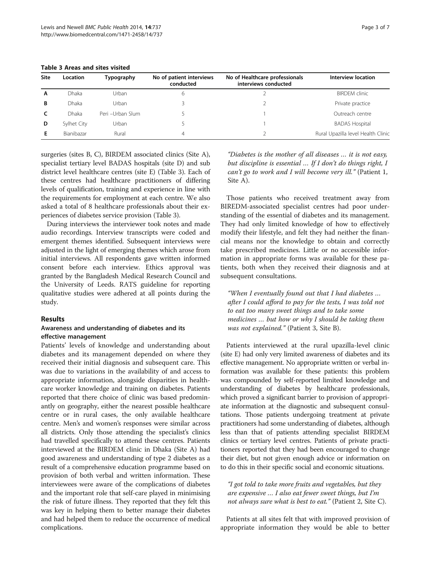| Site | <b>Location</b>   | Typography       | No of patient interviews<br>conducted | No of Healthcare professionals<br>interviews conducted | <b>Interview location</b>          |
|------|-------------------|------------------|---------------------------------------|--------------------------------------------------------|------------------------------------|
| A    | <b>Dhaka</b>      | Urban            | 6                                     |                                                        | <b>BIRDEM</b> clinic               |
| B    | <b>Dhaka</b>      | Urban            |                                       |                                                        | Private practice                   |
|      | <b>Dhaka</b>      | Peri -Urban Slum |                                       |                                                        | Outreach centre                    |
| D    | Sylhet City       | Urban            |                                       |                                                        | <b>BADAS Hospital</b>              |
| Е    | <b>Bianibazar</b> | Rural            | 4                                     |                                                        | Rural Upazilla level Health Clinic |

<span id="page-2-0"></span>Table 3 Areas and sites visited

surgeries (sites B, C), BIRDEM associated clinics (Site A), specialist tertiary level BADAS hospitals (site D) and sub district level healthcare centres (site E) (Table 3). Each of these centres had healthcare practitioners of differing levels of qualification, training and experience in line with the requirements for employment at each centre. We also asked a total of 8 healthcare professionals about their experiences of diabetes service provision (Table 3).

During interviews the interviewer took notes and made audio recordings. Interview transcripts were coded and emergent themes identified. Subsequent interviews were adjusted in the light of emerging themes which arose from initial interviews. All respondents gave written informed consent before each interview. Ethics approval was granted by the Bangladesh Medical Research Council and the University of Leeds. RATS guideline for reporting qualitative studies were adhered at all points during the study.

#### Results

# Awareness and understanding of diabetes and its effective management

Patients' levels of knowledge and understanding about diabetes and its management depended on where they received their initial diagnosis and subsequent care. This was due to variations in the availability of and access to appropriate information, alongside disparities in healthcare worker knowledge and training on diabetes. Patients reported that there choice of clinic was based predominantly on geography, either the nearest possible healthcare centre or in rural cases, the only available healthcare centre. Men's and women's responses were similar across all districts. Only those attending the specialist's clinics had travelled specifically to attend these centres. Patients interviewed at the BIRDEM clinic in Dhaka (Site A) had good awareness and understanding of type 2 diabetes as a result of a comprehensive education programme based on provision of both verbal and written information. These interviewees were aware of the complications of diabetes and the important role that self-care played in minimising the risk of future illness. They reported that they felt this was key in helping them to better manage their diabetes and had helped them to reduce the occurrence of medical complications.

"Diabetes is the mother of all diseases … it is not easy, but discipline is essential … If I don't do things right, I can't go to work and I will become very ill." (Patient 1, Site A).

Those patients who received treatment away from BIREDM-associated specialist centres had poor understanding of the essential of diabetes and its management. They had only limited knowledge of how to effectively modify their lifestyle, and felt they had neither the financial means nor the knowledge to obtain and correctly take prescribed medicines. Little or no accessible information in appropriate forms was available for these patients, both when they received their diagnosis and at subsequent consultations.

"When I eventually found out that I had diabetes … after I could afford to pay for the tests, I was told not to eat too many sweet things and to take some medicines … but how or why I should be taking them was not explained." (Patient 3, Site B).

Patients interviewed at the rural upazilla-level clinic (site E) had only very limited awareness of diabetes and its effective management. No appropriate written or verbal information was available for these patients: this problem was compounded by self-reported limited knowledge and understanding of diabetes by healthcare professionals, which proved a significant barrier to provision of appropriate information at the diagnostic and subsequent consultations. Those patients undergoing treatment at private practitioners had some understanding of diabetes, although less than that of patients attending specialist BIRDEM clinics or tertiary level centres. Patients of private practitioners reported that they had been encouraged to change their diet, but not given enough advice or information on to do this in their specific social and economic situations.

"I got told to take more fruits and vegetables, but they are expensive … I also eat fewer sweet things, but I'm not always sure what is best to eat." (Patient 2, Site C).

Patients at all sites felt that with improved provision of appropriate information they would be able to better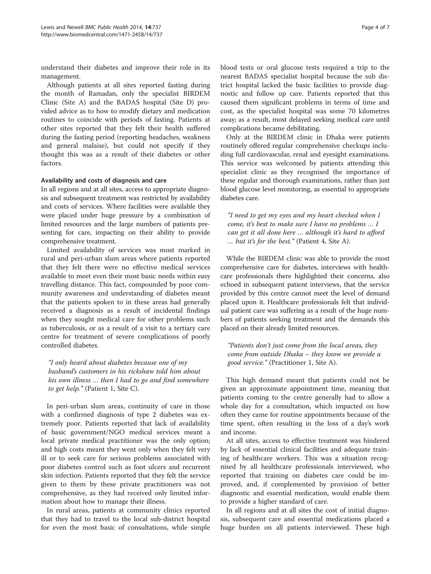understand their diabetes and improve their role in its management.

Although patients at all sites reported fasting during the month of Ramadan, only the specialist BIRDEM Clinic (Site A) and the BADAS hospital (Site D) provided advice as to how to modify dietary and medication routines to coincide with periods of fasting. Patients at other sites reported that they felt their health suffered during the fasting period (reporting headaches, weakness and general malaise), but could not specify if they thought this was as a result of their diabetes or other factors.

### Availability and costs of diagnosis and care

In all regions and at all sites, access to appropriate diagnosis and subsequent treatment was restricted by availability and costs of services. Where facilities were available they were placed under huge pressure by a combination of limited resources and the large numbers of patients presenting for care, impacting on their ability to provide comprehensive treatment.

Limited availability of services was most marked in rural and peri-urban slum areas where patients reported that they felt there were no effective medical services available to meet even their most basic needs within easy travelling distance. This fact, compounded by poor community awareness and understanding of diabetes meant that the patients spoken to in these areas had generally received a diagnosis as a result of incidental findings when they sought medical care for other problems such as tuberculosis, or as a result of a visit to a tertiary care centre for treatment of severe complications of poorly controlled diabetes.

"I only heard about diabetes because one of my husband's customers in his rickshaw told him about his own illness … then I had to go and find somewhere to get help." (Patient 1, Site C).

In peri-urban slum areas, continuity of care in those with a confirmed diagnosis of type 2 diabetes was extremely poor. Patients reported that lack of availability of basic government/NGO medical services meant a local private medical practitioner was the only option; and high costs meant they went only when they felt very ill or to seek care for serious problems associated with poor diabetes control such as foot ulcers and recurrent skin infection. Patients reported that they felt the service given to them by these private practitioners was not comprehensive, as they had received only limited information about how to manage their illness.

In rural areas, patients at community clinics reported that they had to travel to the local sub-district hospital for even the most basic of consultations, while simple blood tests or oral glucose tests required a trip to the nearest BADAS specialist hospital because the sub district hospital lacked the basic facilities to provide diagnostic and follow up care. Patients reported that this caused them significant problems in terms of time and cost, as the specialist hospital was some 70 kilometres away; as a result, most delayed seeking medical care until complications became debilitating.

Only at the BIRDEM clinic in Dhaka were patients routinely offered regular comprehensive checkups including full cardiovascular, renal and eyesight examinations. This service was welcomed by patients attending this specialist clinic as they recognised the importance of these regular and thorough examinations, rather than just blood glucose level monitoring, as essential to appropriate diabetes care.

"I need to get my eyes and my heart checked when I come, it's best to make sure I have no problems … I can get it all done here … although it's hard to afford … but it's for the best." (Patient 4, Site A).

While the BIRDEM clinic was able to provide the most comprehensive care for diabetes, interviews with healthcare professionals there highlighted their concerns, also echoed in subsequent patient interviews, that the service provided by this centre cannot meet the level of demand placed upon it. Healthcare professionals felt that individual patient care was suffering as a result of the huge numbers of patients seeking treatment and the demands this placed on their already limited resources.

"Patients don't just come from the local areas, they come from outside Dhaka – they know we provide a good service." (Practitioner 1, Site A).

This high demand meant that patients could not be given an approximate appointment time, meaning that patients coming to the centre generally had to allow a whole day for a consultation, which impacted on how often they came for routine appointments because of the time spent, often resulting in the loss of a day's work and income.

At all sites, access to effective treatment was hindered by lack of essential clinical facilities and adequate training of healthcare workers. This was a situation recognised by all healthcare professionals interviewed, who reported that training on diabetes care could be improved, and, if complemented by provision of better diagnostic and essential medication, would enable them to provide a higher standard of care.

In all regions and at all sites the cost of initial diagnosis, subsequent care and essential medications placed a huge burden on all patients interviewed. These high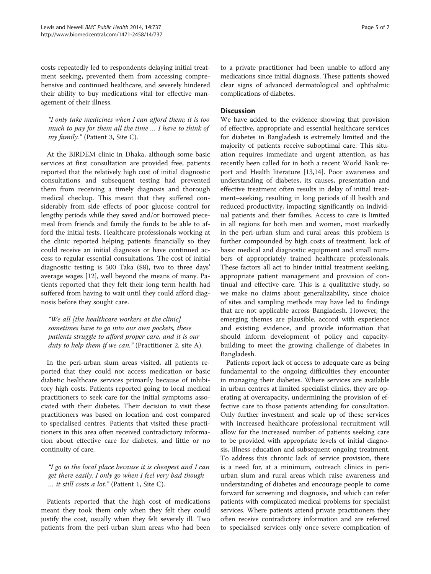costs repeatedly led to respondents delaying initial treatment seeking, prevented them from accessing comprehensive and continued healthcare, and severely hindered their ability to buy medications vital for effective management of their illness.

"I only take medicines when I can afford them; it is too much to pay for them all the time … I have to think of my family." (Patient 3, Site C).

At the BIRDEM clinic in Dhaka, although some basic services at first consultation are provided free, patients reported that the relatively high cost of initial diagnostic consultations and subsequent testing had prevented them from receiving a timely diagnosis and thorough medical checkup. This meant that they suffered considerably from side effects of poor glucose control for lengthy periods while they saved and/or borrowed piecemeal from friends and family the funds to be able to afford the initial tests. Healthcare professionals working at the clinic reported helping patients financially so they could receive an initial diagnosis or have continued access to regular essential consultations. The cost of initial diagnostic testing is 500 Taka (\$8), two to three days' average wages [\[12\]](#page-6-0), well beyond the means of many. Patients reported that they felt their long term health had suffered from having to wait until they could afford diagnosis before they sought care.

"We all [the healthcare workers at the clinic] sometimes have to go into our own pockets, these patients struggle to afford proper care, and it is our duty to help them if we can." (Practitioner 2, site A).

In the peri-urban slum areas visited, all patients reported that they could not access medication or basic diabetic healthcare services primarily because of inhibitory high costs. Patients reported going to local medical practitioners to seek care for the initial symptoms associated with their diabetes. Their decision to visit these practitioners was based on location and cost compared to specialised centres. Patients that visited these practitioners in this area often received contradictory information about effective care for diabetes, and little or no continuity of care.

"I go to the local place because it is cheapest and I can get there easily. I only go when I feel very bad though … it still costs a lot." (Patient 1, Site C).

Patients reported that the high cost of medications meant they took them only when they felt they could justify the cost, usually when they felt severely ill. Two patients from the peri-urban slum areas who had been

# **Discussion**

We have added to the evidence showing that provision of effective, appropriate and essential healthcare services for diabetes in Bangladesh is extremely limited and the majority of patients receive suboptimal care. This situation requires immediate and urgent attention, as has recently been called for in both a recent World Bank report and Health literature [[13](#page-6-0),[14](#page-6-0)]. Poor awareness and understanding of diabetes, its causes, presentation and effective treatment often results in delay of initial treatment–seeking, resulting in long periods of ill health and reduced productivity, impacting significantly on individual patients and their families. Access to care is limited in all regions for both men and women, most markedly in the peri-urban slum and rural areas: this problem is further compounded by high costs of treatment, lack of basic medical and diagnostic equipment and small numbers of appropriately trained healthcare professionals. These factors all act to hinder initial treatment seeking, appropriate patient management and provision of continual and effective care. This is a qualitative study, so we make no claims about generalizability, since choice of sites and sampling methods may have led to findings that are not applicable across Bangladesh. However, the emerging themes are plausible, accord with experience and existing evidence, and provide information that should inform development of policy and capacitybuilding to meet the growing challenge of diabetes in Bangladesh.

Patients report lack of access to adequate care as being fundamental to the ongoing difficulties they encounter in managing their diabetes. Where services are available in urban centres at limited specialist clinics, they are operating at overcapacity, undermining the provision of effective care to those patients attending for consultation. Only further investment and scale up of these services with increased healthcare professional recruitment will allow for the increased number of patients seeking care to be provided with appropriate levels of initial diagnosis, illness education and subsequent ongoing treatment. To address this chronic lack of service provision, there is a need for, at a minimum, outreach clinics in periurban slum and rural areas which raise awareness and understanding of diabetes and encourage people to come forward for screening and diagnosis, and which can refer patients with complicated medical problems for specialist services. Where patients attend private practitioners they often receive contradictory information and are referred to specialised services only once severe complication of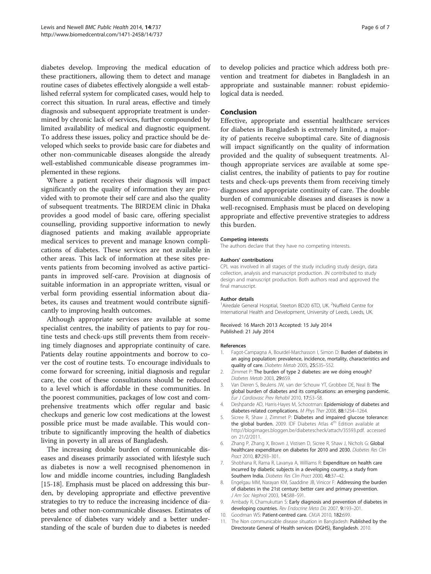<span id="page-5-0"></span>diabetes develop. Improving the medical education of these practitioners, allowing them to detect and manage routine cases of diabetes effectively alongside a well established referral system for complicated cases, would help to correct this situation. In rural areas, effective and timely diagnosis and subsequent appropriate treatment is undermined by chronic lack of services, further compounded by limited availability of medical and diagnostic equipment. To address these issues, policy and practice should be developed which seeks to provide basic care for diabetes and other non-communicable diseases alongside the already well-established communicable disease programmes implemented in these regions.

Where a patient receives their diagnosis will impact significantly on the quality of information they are provided with to promote their self care and also the quality of subsequent treatments. The BIRDEM clinic in Dhaka provides a good model of basic care, offering specialist counselling, providing supportive information to newly diagnosed patients and making available appropriate medical services to prevent and manage known complications of diabetes. These services are not available in other areas. This lack of information at these sites prevents patients from becoming involved as active participants in improved self-care. Provision at diagnosis of suitable information in an appropriate written, visual or verbal form providing essential information about diabetes, its causes and treatment would contribute significantly to improving health outcomes.

Although appropriate services are available at some specialist centres, the inability of patients to pay for routine tests and check-ups still prevents them from receiving timely diagnoses and appropriate continuity of care. Patients delay routine appointments and borrow to cover the cost of routine tests. To encourage individuals to come forward for screening, initial diagnosis and regular care, the cost of these consultations should be reduced to a level which is affordable in these communities. In the poorest communities, packages of low cost and comprehensive treatments which offer regular and basic checkups and generic low cost medications at the lowest possible price must be made available. This would contribute to significantly improving the health of diabetics living in poverty in all areas of Bangladesh.

The increasing double burden of communicable diseases and diseases primarily associated with lifestyle such as diabetes is now a well recognised phenomenon in low and middle income countries, including Bangladesh [[15](#page-6-0)-[18\]](#page-6-0). Emphasis must be placed on addressing this burden, by developing appropriate and effective preventive strategies to try to reduce the increasing incidence of diabetes and other non-communicable diseases. Estimates of prevalence of diabetes vary widely and a better understanding of the scale of burden due to diabetes is needed

to develop policies and practice which address both prevention and treatment for diabetes in Bangladesh in an appropriate and sustainable manner: robust epidemiological data is needed.

#### Conclusion

Effective, appropriate and essential healthcare services for diabetes in Bangladesh is extremely limited, a majority of patients receive suboptimal care. Site of diagnosis will impact significantly on the quality of information provided and the quality of subsequent treatments. Although appropriate services are available at some specialist centres, the inability of patients to pay for routine tests and check-ups prevents them from receiving timely diagnoses and appropriate continuity of care. The double burden of communicable diseases and diseases is now a well-recognised. Emphasis must be placed on developing appropriate and effective preventive strategies to address this burden.

#### Competing interests

The authors declare that they have no competing interests.

#### Authors' contributions

CPL was involved in all stages of the study including study design, data collection, analysis and manuscript production. JN contributed to study design and manuscript production. Both authors read and approved the final manuscript.

#### Author details

<sup>1</sup> Airedale General Hosptial, Steeton BD20 6TD, UK. <sup>2</sup> Nuffield Centre for International Health and Development, University of Leeds, Leeds, UK.

#### Received: 16 March 2013 Accepted: 15 July 2014 Published: 21 July 2014

#### References

- 1. Fagot-Campagna A, Bourdel-Marchasson I, Simon D: Burden of diabetes in an aging population: prevalence, incidence, mortality, characteristics and quality of care. Diabetes Metab 2005, 25:S35–S52.
- 2. Zimmet P: The burden of type 2 diabetes: are we doing enough? Diabetes Metab 2003, 29:6S9
- 3. Van Dieren S, Beulens JW, van der Schouw YT, Grobbee DE, Neal B: The global burden of diabetes and its complications: an emerging pandemic. Eur J Cardiovasc Prev Rehabil 2010, 17:S3–S8.
- 4. Deshpande AD, Harris-Hayes M, Schootman: Epidemiology of diabetes and diabetes-related complications. M Phys Ther 2008, 88:1254–1264.
- 5. Sicree R, Shaw J, Zimmet P: Diabetes and impaired glucose tolerance: the global burden. 2009. IDF Diabetes Atlas 4<sup>th</sup> Edition available at <http://blogimages.bloggen.be/diabetescheck/attach/35593.pdf>. accessed on 21/2/2011.
- 6. Zhang P, Zhang X, Brown J, Vistisen D, Sicree R, Shaw J, Nichols G: Global healthcare expenditure on diabetes for 2010 and 2030. Diabetes Res Clin Pract 2010, 87:293–301.
- 7. Shobhana R, Rama R, Lavanya A, Williams R: Expenditure on health care incurred by diabetic subjects in a developing country, a study from Southern India. Diabetes Res Clin Pract 2000, 48:37–42.
- 8. Engelgau MM, Narayan KM, Saaddine JB, Vinicor F: Addressing the burden of diabetes in the 21st century: better care and primary prevention. J Am Soc Nephrol 2003, 14:S88–S91.
- 9. Ambady R, Chamukuttan S: Early diagnosis and prevention of diabetes in developing countries. Rev Endocrine Meta Dis 2007, 9:193–201.
- 10. Goodman WS: Patient-centred care. CMJA 2010, 182:699.
- 11. The Non communicable disease situation in Bangladesh: Published by the Directorate General of Health services (DGHS), Bangladesh. 2010.